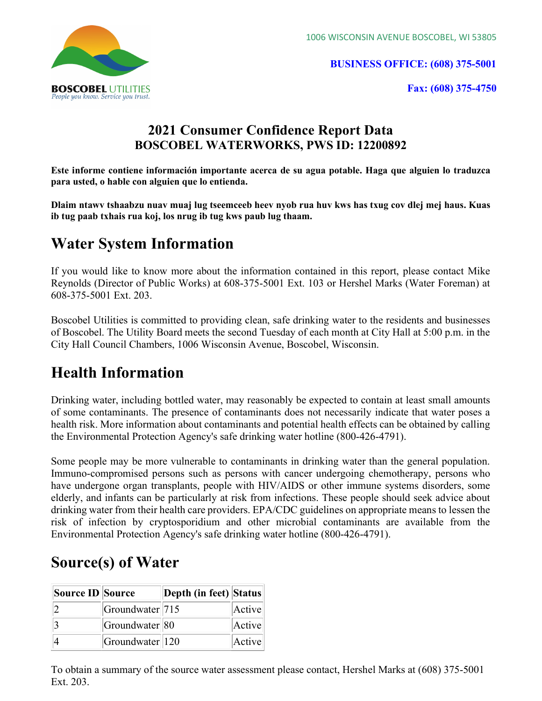1006 WISCONSIN AVENUE BOSCOBEL, WI 53805



BUSINESS OFFICE: (608) 375-5001

Fax: (608) 375-4750

## 2021 Consumer Confidence Report Data BOSCOBEL WATERWORKS, PWS ID: 12200892

Este informe contiene información importante acerca de su agua potable. Haga que alguien lo traduzca para usted, o hable con alguien que lo entienda.

Dlaim ntawv tshaabzu nuav muaj lug tseemceeb heev nyob rua huv kws has txug cov dlej mej haus. Kuas ib tug paab txhais rua koj, los nrug ib tug kws paub lug thaam.

# Water System Information

If you would like to know more about the information contained in this report, please contact Mike Reynolds (Director of Public Works) at 608-375-5001 Ext. 103 or Hershel Marks (Water Foreman) at 608-375-5001 Ext. 203.

Boscobel Utilities is committed to providing clean, safe drinking water to the residents and businesses of Boscobel. The Utility Board meets the second Tuesday of each month at City Hall at 5:00 p.m. in the City Hall Council Chambers, 1006 Wisconsin Avenue, Boscobel, Wisconsin.

## Health Information

Drinking water, including bottled water, may reasonably be expected to contain at least small amounts of some contaminants. The presence of contaminants does not necessarily indicate that water poses a health risk. More information about contaminants and potential health effects can be obtained by calling the Environmental Protection Agency's safe drinking water hotline (800-426-4791).

Some people may be more vulnerable to contaminants in drinking water than the general population. Immuno-compromised persons such as persons with cancer undergoing chemotherapy, persons who have undergone organ transplants, people with HIV/AIDS or other immune systems disorders, some elderly, and infants can be particularly at risk from infections. These people should seek advice about drinking water from their health care providers. EPA/CDC guidelines on appropriate means to lessen the risk of infection by cryptosporidium and other microbial contaminants are available from the Environmental Protection Agency's safe drinking water hotline (800-426-4791).

## Source(s) of Water

| Source ID Source |                            | Depth (in feet) Status |        |
|------------------|----------------------------|------------------------|--------|
|                  | Groundwater <sup>715</sup> |                        | Active |
|                  | Groundwater <sup>80</sup>  |                        | Active |
|                  | $ G$ roundwater $ 120$     |                        | Active |

To obtain a summary of the source water assessment please contact, Hershel Marks at (608) 375-5001 Ext. 203.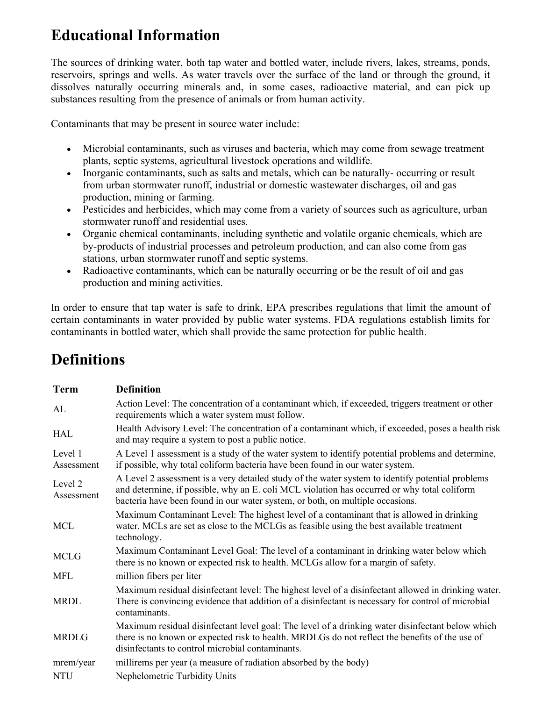# Educational Information

The sources of drinking water, both tap water and bottled water, include rivers, lakes, streams, ponds, reservoirs, springs and wells. As water travels over the surface of the land or through the ground, it dissolves naturally occurring minerals and, in some cases, radioactive material, and can pick up substances resulting from the presence of animals or from human activity.

Contaminants that may be present in source water include:

- Microbial contaminants, such as viruses and bacteria, which may come from sewage treatment plants, septic systems, agricultural livestock operations and wildlife.
- Inorganic contaminants, such as salts and metals, which can be naturally-occurring or result from urban stormwater runoff, industrial or domestic wastewater discharges, oil and gas production, mining or farming.
- Pesticides and herbicides, which may come from a variety of sources such as agriculture, urban stormwater runoff and residential uses.
- Organic chemical contaminants, including synthetic and volatile organic chemicals, which are by-products of industrial processes and petroleum production, and can also come from gas stations, urban stormwater runoff and septic systems.
- Radioactive contaminants, which can be naturally occurring or be the result of oil and gas production and mining activities.

In order to ensure that tap water is safe to drink, EPA prescribes regulations that limit the amount of certain contaminants in water provided by public water systems. FDA regulations establish limits for contaminants in bottled water, which shall provide the same protection for public health.

# Definitions

| <b>Term</b>           | <b>Definition</b>                                                                                                                                                                                                                                                                |
|-----------------------|----------------------------------------------------------------------------------------------------------------------------------------------------------------------------------------------------------------------------------------------------------------------------------|
| AL                    | Action Level: The concentration of a contaminant which, if exceeded, triggers treatment or other<br>requirements which a water system must follow.                                                                                                                               |
| <b>HAL</b>            | Health Advisory Level: The concentration of a contaminant which, if exceeded, poses a health risk<br>and may require a system to post a public notice.                                                                                                                           |
| Level 1<br>Assessment | A Level 1 assessment is a study of the water system to identify potential problems and determine,<br>if possible, why total coliform bacteria have been found in our water system.                                                                                               |
| Level 2<br>Assessment | A Level 2 assessment is a very detailed study of the water system to identify potential problems<br>and determine, if possible, why an E. coli MCL violation has occurred or why total coliform<br>bacteria have been found in our water system, or both, on multiple occasions. |
| <b>MCL</b>            | Maximum Contaminant Level: The highest level of a contaminant that is allowed in drinking<br>water. MCLs are set as close to the MCLGs as feasible using the best available treatment<br>technology.                                                                             |
| <b>MCLG</b>           | Maximum Contaminant Level Goal: The level of a contaminant in drinking water below which<br>there is no known or expected risk to health. MCLGs allow for a margin of safety.                                                                                                    |
| <b>MFL</b>            | million fibers per liter                                                                                                                                                                                                                                                         |
| <b>MRDL</b>           | Maximum residual disinfectant level: The highest level of a disinfectant allowed in drinking water.<br>There is convincing evidence that addition of a disinfectant is necessary for control of microbial<br>contaminants.                                                       |
| <b>MRDLG</b>          | Maximum residual disinfectant level goal: The level of a drinking water disinfectant below which<br>there is no known or expected risk to health. MRDLGs do not reflect the benefits of the use of<br>disinfectants to control microbial contaminants.                           |
| mrem/year             | millirems per year (a measure of radiation absorbed by the body)                                                                                                                                                                                                                 |
| <b>NTU</b>            | Nephelometric Turbidity Units                                                                                                                                                                                                                                                    |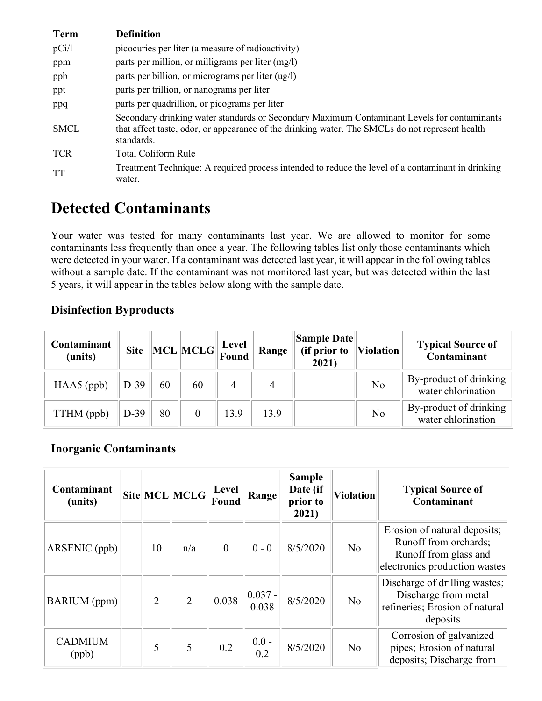| <b>Term</b> | <b>Definition</b>                                                                                                                                                                                            |
|-------------|--------------------------------------------------------------------------------------------------------------------------------------------------------------------------------------------------------------|
| pCi/1       | picocuries per liter (a measure of radioactivity)                                                                                                                                                            |
| ppm         | parts per million, or milligrams per liter (mg/l)                                                                                                                                                            |
| ppb         | parts per billion, or micrograms per liter (ug/l)                                                                                                                                                            |
| ppt         | parts per trillion, or nanograms per liter                                                                                                                                                                   |
| ppq         | parts per quadrillion, or picograms per liter                                                                                                                                                                |
| <b>SMCL</b> | Secondary drinking water standards or Secondary Maximum Contaminant Levels for contaminants<br>that affect taste, odor, or appearance of the drinking water. The SMCLs do not represent health<br>standards. |
| <b>TCR</b>  | Total Coliform Rule                                                                                                                                                                                          |
| <b>TT</b>   | Treatment Technique: A required process intended to reduce the level of a contaminant in drinking<br>water.                                                                                                  |

## Detected Contaminants

Your water was tested for many contaminants last year. We are allowed to monitor for some contaminants less frequently than once a year. The following tables list only those contaminants which were detected in your water. If a contaminant was detected last year, it will appear in the following tables without a sample date. If the contaminant was not monitored last year, but was detected within the last 5 years, it will appear in the tables below along with the sample date.

### Disinfection Byproducts

| Contaminant<br>(units) |        |    | Site MCL MCLG Found |      | Range | <b>Sample Date</b><br>(if prior to<br>2021) | <b>Violation</b> | <b>Typical Source of</b><br>Contaminant      |
|------------------------|--------|----|---------------------|------|-------|---------------------------------------------|------------------|----------------------------------------------|
| $HAA5$ (ppb)           | $D-39$ | 60 | 60                  | 4    | 4     |                                             | No               | By-product of drinking<br>water chlorination |
| TTHM (ppb)             | $D-39$ | 80 |                     | 13.9 | 13.9  |                                             | No               | By-product of drinking<br>water chlorination |

### Inorganic Contaminants

| Contaminant<br>(units)  |                | Site MCL MCLG  | Level<br>Found | Range              | <b>Sample</b><br>Date (if<br>prior to<br>2021) | <b>Violation</b> | <b>Typical Source of</b><br>Contaminant                                                                         |
|-------------------------|----------------|----------------|----------------|--------------------|------------------------------------------------|------------------|-----------------------------------------------------------------------------------------------------------------|
| ARSENIC (ppb)           | 10             | n/a            | $\overline{0}$ | $0 - 0$            | 8/5/2020                                       | N <sub>o</sub>   | Erosion of natural deposits;<br>Runoff from orchards;<br>Runoff from glass and<br>electronics production wastes |
| <b>BARIUM</b> (ppm)     | $\overline{2}$ | $\overline{2}$ | 0.038          | $0.037 -$<br>0.038 | 8/5/2020                                       | N <sub>o</sub>   | Discharge of drilling wastes;<br>Discharge from metal<br>refineries; Erosion of natural<br>deposits             |
| <b>CADMIUM</b><br>(ppb) | 5              | 5              | 0.2            | $0.0 -$<br>0.2     | 8/5/2020                                       | No               | Corrosion of galvanized<br>pipes; Erosion of natural<br>deposits; Discharge from                                |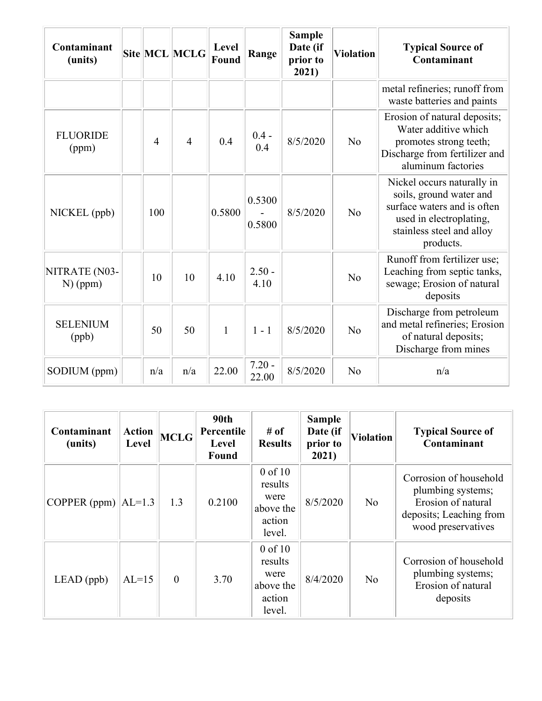| Contaminant<br>(units)      |                | Site MCL MCLG  | Level<br>Found | Range             | <b>Sample</b><br>Date (if<br>prior to<br>2021) | <b>Violation</b> | <b>Typical Source of</b><br>Contaminant                                                                                                                   |
|-----------------------------|----------------|----------------|----------------|-------------------|------------------------------------------------|------------------|-----------------------------------------------------------------------------------------------------------------------------------------------------------|
|                             |                |                |                |                   |                                                |                  | metal refineries; runoff from<br>waste batteries and paints                                                                                               |
| <b>FLUORIDE</b><br>(ppm)    | $\overline{4}$ | $\overline{4}$ | 0.4            | $0.4 -$<br>0.4    | 8/5/2020                                       | No               | Erosion of natural deposits;<br>Water additive which<br>promotes strong teeth;<br>Discharge from fertilizer and<br>aluminum factories                     |
| NICKEL (ppb)                | 100            |                | 0.5800         | 0.5300<br>0.5800  | 8/5/2020                                       | No               | Nickel occurs naturally in<br>soils, ground water and<br>surface waters and is often<br>used in electroplating,<br>stainless steel and alloy<br>products. |
| NITRATE (N03-<br>$N)$ (ppm) | 10             | 10             | 4.10           | $2.50 -$<br>4.10  |                                                | N <sub>o</sub>   | Runoff from fertilizer use;<br>Leaching from septic tanks,<br>sewage; Erosion of natural<br>deposits                                                      |
| <b>SELENIUM</b><br>(ppb)    | 50             | 50             | $\mathbf{1}$   | $1 - 1$           | 8/5/2020                                       | N <sub>o</sub>   | Discharge from petroleum<br>and metal refineries; Erosion<br>of natural deposits;<br>Discharge from mines                                                 |
| SODIUM (ppm)                | n/a            | n/a            | 22.00          | $7.20 -$<br>22.00 | 8/5/2020                                       | No               | n/a                                                                                                                                                       |

| Contaminant<br>(units) | <b>Action</b><br>Level | <b>MCLG</b> | 90th<br>Percentile<br>Level<br>Found | # of<br><b>Results</b>                                          | <b>Sample</b><br>Date (if<br>prior to<br>2021) | <b>Violation</b> | <b>Typical Source of</b><br>Contaminant                                                                            |
|------------------------|------------------------|-------------|--------------------------------------|-----------------------------------------------------------------|------------------------------------------------|------------------|--------------------------------------------------------------------------------------------------------------------|
| COPPER (ppm) $ AL=1.3$ |                        | 1.3         | 0.2100                               | $0$ of $10$<br>results<br>were<br>above the<br>action<br>level. |                                                | N <sub>o</sub>   | Corrosion of household<br>plumbing systems;<br>Erosion of natural<br>deposits; Leaching from<br>wood preservatives |
| $LEAD$ (ppb)           | $AL=15$                | $\theta$    | 3.70                                 | $0$ of $10$<br>results<br>were<br>above the<br>action<br>level. | 8/4/2020                                       | N <sub>o</sub>   | Corrosion of household<br>plumbing systems;<br>Erosion of natural<br>deposits                                      |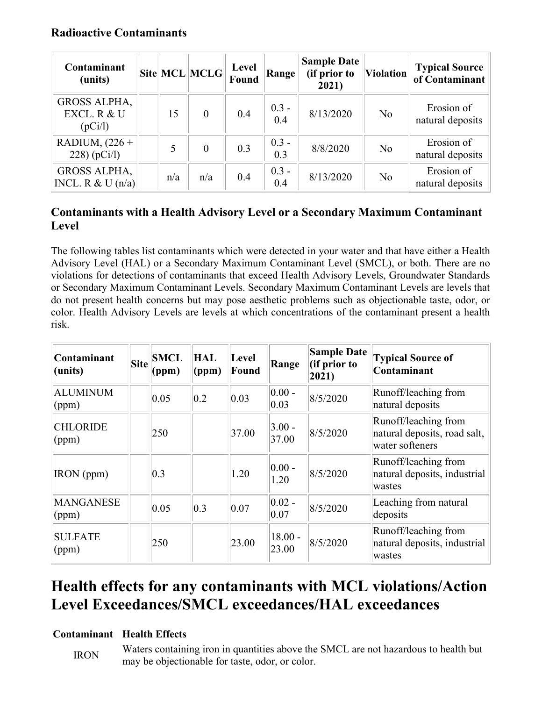#### Radioactive Contaminants

| Contaminant<br>(units)                        |     | Site MCL MCLG  | Level<br>Found | Range          | <b>Sample Date</b><br>(if prior to<br>2021) | <b>Violation</b> | <b>Typical Source</b><br>of Contaminant |
|-----------------------------------------------|-----|----------------|----------------|----------------|---------------------------------------------|------------------|-----------------------------------------|
| <b>GROSS ALPHA,</b><br>EXCL. R & U<br>(pCi/l) | 15  | $\theta$       | 0.4            | $0.3 -$<br>0.4 | 8/13/2020                                   | N <sub>o</sub>   | Erosion of<br>natural deposits          |
| RADIUM, $(226 +$<br>$228)$ (pCi/l)            | 5   | $\overline{0}$ | 0.3            | $0.3 -$<br>0.3 | 8/8/2020                                    | No               | Erosion of<br>natural deposits          |
| <b>GROSS ALPHA,</b><br> NCL. R & U(n/a)       | n/a | n/a            | 0.4            | $0.3 -$<br>0.4 | 8/13/2020                                   | No               | Erosion of<br>natural deposits          |

### Contaminants with a Health Advisory Level or a Secondary Maximum Contaminant Level

The following tables list contaminants which were detected in your water and that have either a Health Advisory Level (HAL) or a Secondary Maximum Contaminant Level (SMCL), or both. There are no violations for detections of contaminants that exceed Health Advisory Levels, Groundwater Standards or Secondary Maximum Contaminant Levels. Secondary Maximum Contaminant Levels are levels that do not present health concerns but may pose aesthetic problems such as objectionable taste, odor, or color. Health Advisory Levels are levels at which concentrations of the contaminant present a health risk.

| Contaminant<br>$l$ (units)         | <b>Site</b> | <b>SMCL</b><br>(ppm) | <b>HAL</b><br>(ppm) | Level<br>Found | Range                       | <b>Sample Date</b><br>(if prior to<br>$ 2021\rangle$ | <b>Typical Source of</b><br>Contaminant                                 |
|------------------------------------|-------------|----------------------|---------------------|----------------|-----------------------------|------------------------------------------------------|-------------------------------------------------------------------------|
| <b>ALUMINUM</b><br>(ppm)           |             | 0.05                 | 0.2                 | $ 0.03\rangle$ | $ 0.00 -$<br>$ 0.03\rangle$ | 8/5/2020                                             | Runoff/leaching from<br>natural deposits                                |
| <b>CHLORIDE</b><br>(ppm)           |             | 250                  |                     | 37.00          | $3.00 -$<br>37.00           | 8/5/2020                                             | Runoff/leaching from<br>natural deposits, road salt,<br>water softeners |
| IRON (ppm)                         |             | $ 0.3\rangle$        |                     | 1.20           | $ 0.00 -$<br>1.20           | 8/5/2020                                             | Runoff/leaching from<br>natural deposits, industrial<br>wastes          |
| <b>MANGANESE</b><br>$\gamma$ (ppm) |             | 0.05                 | 0.3                 | 0.07           | $ 0.02 -$<br> 0.07          | 8/5/2020                                             | Leaching from natural<br>deposits                                       |
| <b>SULFATE</b><br>(ppm)            |             | 250                  |                     | 23.00          | $18.00 -$<br>23.00          | 8/5/2020                                             | Runoff/leaching from<br>natural deposits, industrial<br>wastes          |

## Health effects for any contaminants with MCL violations/Action Level Exceedances/SMCL exceedances/HAL exceedances

#### Contaminant Health Effects

IRON Waters containing iron in quantities above the SMCL are not hazardous to health but may be objectionable for taste, odor, or color.